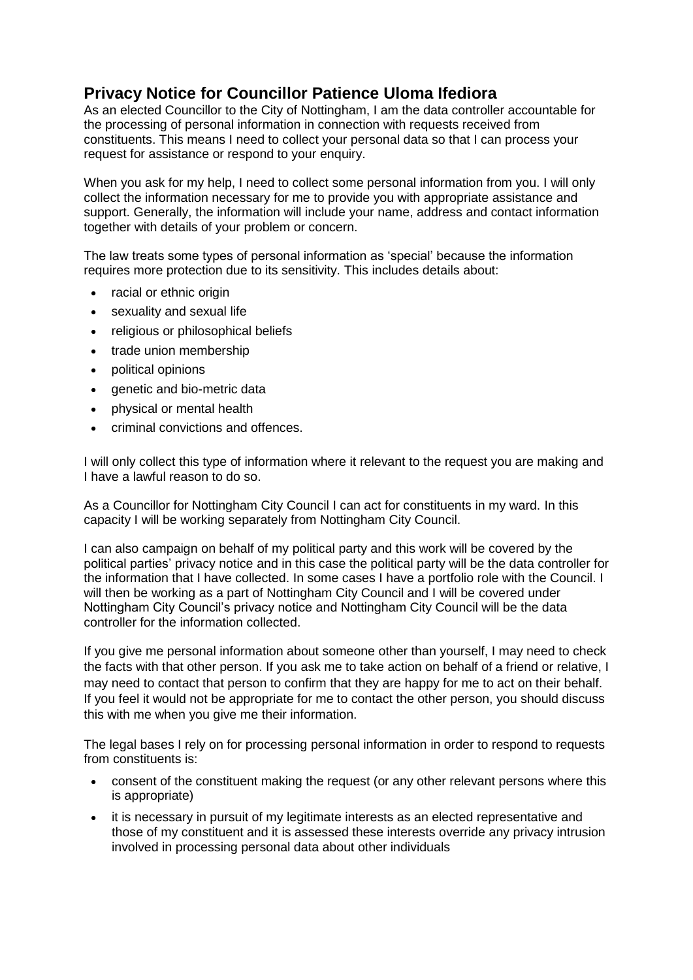## **Privacy Notice for Councillor Patience Uloma Ifediora**

As an elected Councillor to the City of Nottingham, I am the data controller accountable for the processing of personal information in connection with requests received from constituents. This means I need to collect your personal data so that I can process your request for assistance or respond to your enquiry.

When you ask for my help, I need to collect some personal information from you. I will only collect the information necessary for me to provide you with appropriate assistance and support. Generally, the information will include your name, address and contact information together with details of your problem or concern.

The law treats some types of personal information as 'special' because the information requires more protection due to its sensitivity. This includes details about:

- racial or ethnic origin
- sexuality and sexual life
- religious or philosophical beliefs
- trade union membership
- political opinions
- genetic and bio-metric data
- physical or mental health
- criminal convictions and offences.

I will only collect this type of information where it relevant to the request you are making and I have a lawful reason to do so.

As a Councillor for Nottingham City Council I can act for constituents in my ward. In this capacity I will be working separately from Nottingham City Council.

I can also campaign on behalf of my political party and this work will be covered by the political parties' privacy notice and in this case the political party will be the data controller for the information that I have collected. In some cases I have a portfolio role with the Council. I will then be working as a part of Nottingham City Council and I will be covered under Nottingham City Council's privacy notice and Nottingham City Council will be the data controller for the information collected.

If you give me personal information about someone other than yourself, I may need to check the facts with that other person. If you ask me to take action on behalf of a friend or relative, I may need to contact that person to confirm that they are happy for me to act on their behalf. If you feel it would not be appropriate for me to contact the other person, you should discuss this with me when you give me their information.

The legal bases I rely on for processing personal information in order to respond to requests from constituents is:

- consent of the constituent making the request (or any other relevant persons where this is appropriate)
- it is necessary in pursuit of my legitimate interests as an elected representative and those of my constituent and it is assessed these interests override any privacy intrusion involved in processing personal data about other individuals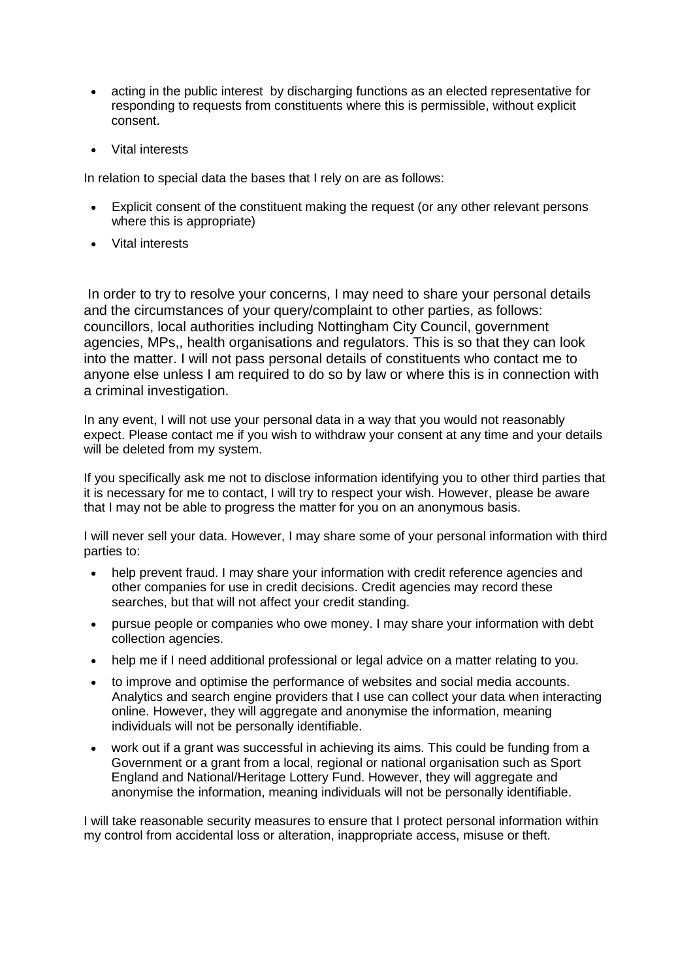- acting in the public interest by discharging functions as an elected representative for responding to requests from constituents where this is permissible, without explicit consent.
- Vital interests

In relation to special data the bases that I rely on are as follows:

- Explicit consent of the constituent making the request (or any other relevant persons where this is appropriate)
- Vital interests

In order to try to resolve your concerns, I may need to share your personal details and the circumstances of your query/complaint to other parties, as follows: councillors, local authorities including Nottingham City Council, government agencies, MPs,, health organisations and regulators. This is so that they can look into the matter. I will not pass personal details of constituents who contact me to anyone else unless I am required to do so by law or where this is in connection with a criminal investigation.

In any event, I will not use your personal data in a way that you would not reasonably expect. Please contact me if you wish to withdraw your consent at any time and your details will be deleted from my system.

If you specifically ask me not to disclose information identifying you to other third parties that it is necessary for me to contact, I will try to respect your wish. However, please be aware that I may not be able to progress the matter for you on an anonymous basis.

I will never sell your data. However, I may share some of your personal information with third parties to:

- help prevent fraud. I may share your information with credit reference agencies and other companies for use in credit decisions. Credit agencies may record these searches, but that will not affect your credit standing.
- pursue people or companies who owe money. I may share your information with debt collection agencies.
- help me if I need additional professional or legal advice on a matter relating to you.
- to improve and optimise the performance of websites and social media accounts. Analytics and search engine providers that I use can collect your data when interacting online. However, they will aggregate and anonymise the information, meaning individuals will not be personally identifiable.
- work out if a grant was successful in achieving its aims. This could be funding from a Government or a grant from a local, regional or national organisation such as Sport England and National/Heritage Lottery Fund. However, they will aggregate and anonymise the information, meaning individuals will not be personally identifiable.

I will take reasonable security measures to ensure that I protect personal information within my control from accidental loss or alteration, inappropriate access, misuse or theft.